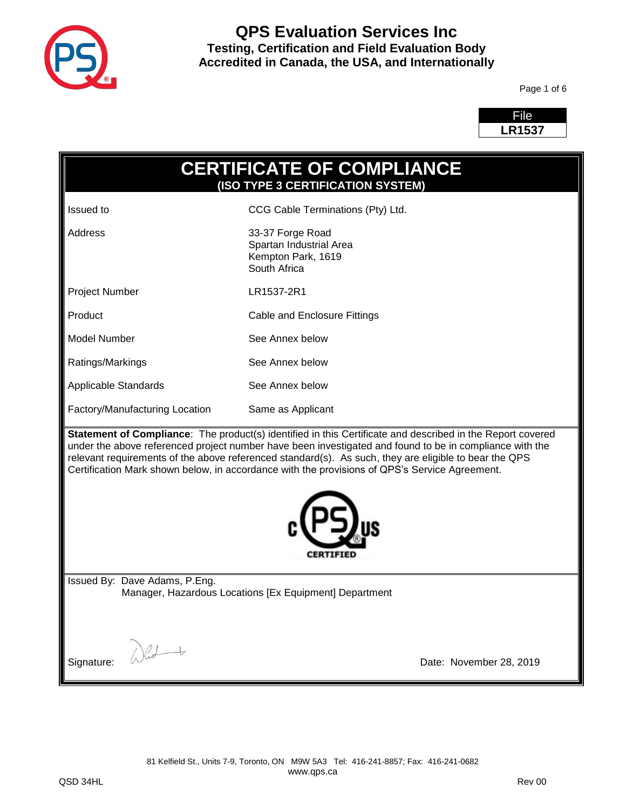

Page 1 of 6



| <b>CERTIFICATE OF COMPLIANCE</b><br>(ISO TYPE 3 CERTIFICATION SYSTEM)                                                                                                                                                                                                                                                                                                                                                           |                                                                                   |  |  |
|---------------------------------------------------------------------------------------------------------------------------------------------------------------------------------------------------------------------------------------------------------------------------------------------------------------------------------------------------------------------------------------------------------------------------------|-----------------------------------------------------------------------------------|--|--|
| <b>Issued</b> to                                                                                                                                                                                                                                                                                                                                                                                                                | CCG Cable Terminations (Pty) Ltd.                                                 |  |  |
| Address                                                                                                                                                                                                                                                                                                                                                                                                                         | 33-37 Forge Road<br>Spartan Industrial Area<br>Kempton Park, 1619<br>South Africa |  |  |
| <b>Project Number</b>                                                                                                                                                                                                                                                                                                                                                                                                           | LR1537-2R1                                                                        |  |  |
| Product                                                                                                                                                                                                                                                                                                                                                                                                                         | Cable and Enclosure Fittings                                                      |  |  |
| <b>Model Number</b>                                                                                                                                                                                                                                                                                                                                                                                                             | See Annex below                                                                   |  |  |
| Ratings/Markings                                                                                                                                                                                                                                                                                                                                                                                                                | See Annex below                                                                   |  |  |
| Applicable Standards                                                                                                                                                                                                                                                                                                                                                                                                            | See Annex below                                                                   |  |  |
| Factory/Manufacturing Location<br>Same as Applicant                                                                                                                                                                                                                                                                                                                                                                             |                                                                                   |  |  |
| Statement of Compliance: The product(s) identified in this Certificate and described in the Report covered<br>under the above referenced project number have been investigated and found to be in compliance with the<br>relevant requirements of the above referenced standard(s). As such, they are eligible to bear the QPS<br>Certification Mark shown below, in accordance with the provisions of QPS's Service Agreement. |                                                                                   |  |  |
| Issued By: Dave Adams, P.Eng.<br>Manager, Hazardous Locations [Ex Equipment] Department                                                                                                                                                                                                                                                                                                                                         |                                                                                   |  |  |
| Signature:<br>Date: November 28, 2019                                                                                                                                                                                                                                                                                                                                                                                           |                                                                                   |  |  |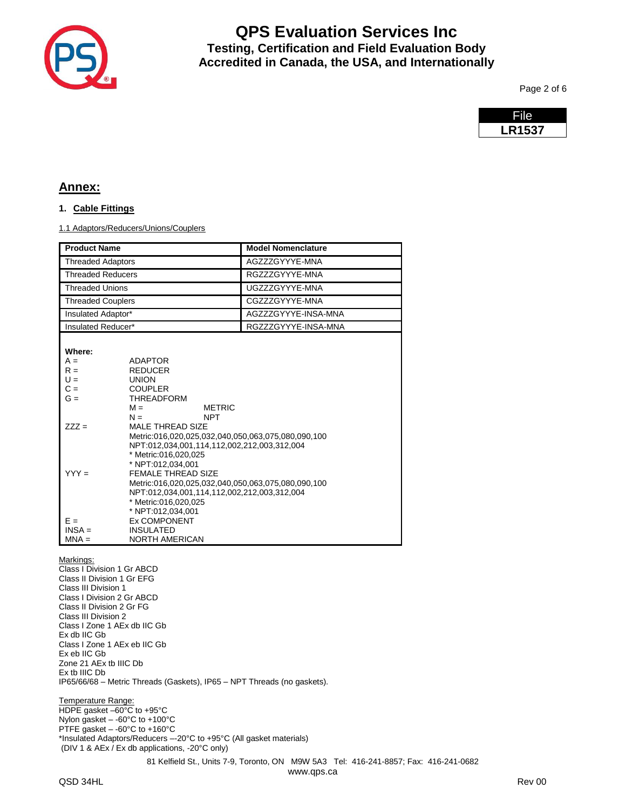

Page 2 of 6

| File.         |  |
|---------------|--|
| <b>LR1537</b> |  |

### **Annex:**

### **1. Cable Fittings**

1.1 Adaptors/Reducers/Unions/Couplers

|                                                                                                                                                                                                                                                                                                                                                                                | <b>Model Nomenclature</b> |  |
|--------------------------------------------------------------------------------------------------------------------------------------------------------------------------------------------------------------------------------------------------------------------------------------------------------------------------------------------------------------------------------|---------------------------|--|
| <b>Threaded Adaptors</b>                                                                                                                                                                                                                                                                                                                                                       | AGZZZGYYYE-MNA            |  |
| <b>Threaded Reducers</b>                                                                                                                                                                                                                                                                                                                                                       | RGZZZGYYYE-MNA            |  |
|                                                                                                                                                                                                                                                                                                                                                                                | UGZZZGYYYE-MNA            |  |
| <b>Threaded Couplers</b>                                                                                                                                                                                                                                                                                                                                                       | CGZZZGYYYE-MNA            |  |
| Insulated Adaptor*                                                                                                                                                                                                                                                                                                                                                             | AGZZZGYYYE-INSA-MNA       |  |
| Insulated Reducer*                                                                                                                                                                                                                                                                                                                                                             | RGZZZGYYYE-INSA-MNA       |  |
| <b>ADAPTOR</b><br><b>REDUCER</b><br><b>UNION</b><br><b>COUPLER</b><br><b>THREADFORM</b><br><b>METRIC</b><br>$M =$<br><b>NPT</b><br>$N =$<br><b>MALE THREAD SIZE</b>                                                                                                                                                                                                            |                           |  |
| Metric:016,020,025,032,040,050,063,075.080.090.100<br>NPT:012,034,001,114,112,002,212,003,312,004<br>* Metric: 016, 020, 025<br>* NPT:012.034.001<br><b>FEMALE THREAD SIZE</b><br>Metric:016,020,025,032,040,050,063,075,080,090,100<br>NPT:012,034,001,114,112,002,212,003,312,004<br>* Metric: 016, 020, 025<br>* NPT:012,034,001<br><b>Ex COMPONENT</b><br><b>INSULATED</b> |                           |  |
|                                                                                                                                                                                                                                                                                                                                                                                | <b>NORTH AMERICAN</b>     |  |

#### Markings:

Class I Division 1 Gr ABCD Class II Division 1 Gr EFG Class III Division 1 Class I Division 2 Gr ABCD Class II Division 2 Gr FG Class III Division 2 Class I Zone 1 AEx db IIC Gb Ex db IIC Gb Class I Zone 1 AEx eb IIC Gb Ex eb IIC Gb Zone 21 AEx tb IIIC Db Ex tb IIIC Db IP65/66/68 – Metric Threads (Gaskets), IP65 – NPT Threads (no gaskets).

Temperature Range: HDPE gasket –60°C to +95°C Nylon gasket – -60°C to +100°C PTFE gasket – -60°C to +160°C \*Insulated Adaptors/Reducers –-20°C to +95°C (All gasket materials) (DIV 1 & AEx / Ex db applications, -20°C only)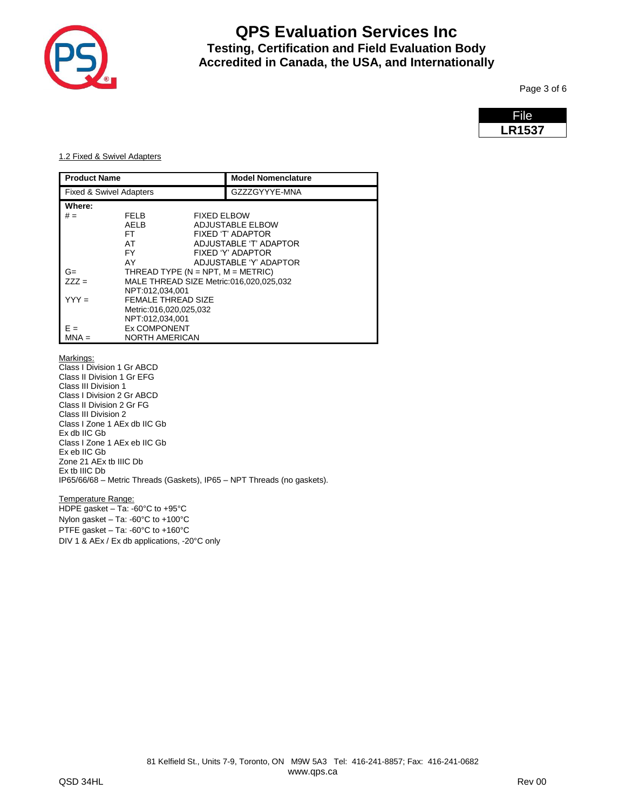

Page 3 of 6

| File.         |  |
|---------------|--|
| <b>LR1537</b> |  |

#### 1.2 Fixed & Swivel Adapters

| <b>Product Name</b>                |                                          | <b>Model Nomenclature</b> |                                         |
|------------------------------------|------------------------------------------|---------------------------|-----------------------------------------|
| <b>Fixed &amp; Swivel Adapters</b> |                                          | GZZZGYYYE-MNA             |                                         |
| Where:                             |                                          |                           |                                         |
| $# =$                              | <b>FELB</b>                              | <b>FIXED ELBOW</b>        |                                         |
|                                    | AELB                                     |                           | ADJUSTABLE ELBOW                        |
|                                    | FT                                       |                           | FIXED 'T' ADAPTOR                       |
|                                    | AT                                       |                           | ADJUSTABLE 'T' ADAPTOR                  |
|                                    | FY                                       |                           | FIXED 'Y' ADAPTOR                       |
|                                    | AY                                       |                           | ADJUSTABLE 'Y' ADAPTOR                  |
| G=                                 | THREAD TYPE ( $N = NPT$ , $M = METRIC$ ) |                           |                                         |
| $777 =$                            |                                          |                           | MALE THREAD SIZE Metric:016,020,025,032 |
|                                    | NPT:012.034.001                          |                           |                                         |
| $YYY =$                            | <b>FEMALE THREAD SIZE</b>                |                           |                                         |
|                                    | Metric:016,020,025,032                   |                           |                                         |
|                                    | NPT:012.034.001                          |                           |                                         |
|                                    | <b>Ex COMPONENT</b>                      |                           |                                         |
| MNA =                              | <b>NORTH AMERICAN</b>                    |                           |                                         |

Markings:

Class I Division 1 Gr ABCD Class II Division 1 Gr EFG Class III Division 1 Class I Division 2 Gr ABCD Class II Division 2 Gr FG Class III Division 2 Class I Zone 1 AEx db IIC Gb Ex db IIC Gb Class I Zone 1 AEx eb IIC Gb Ex eb IIC Gb Zone 21 AEx tb IIIC Db Ex tb IIIC Db IP65/66/68 – Metric Threads (Gaskets), IP65 – NPT Threads (no gaskets).

Temperature Range: HDPE gasket – Ta: -60°C to +95°C

Nylon gasket – Ta: -60°C to +100°C

PTFE gasket – Ta: -60°C to +160°C DIV 1 & AEx / Ex db applications, -20°C only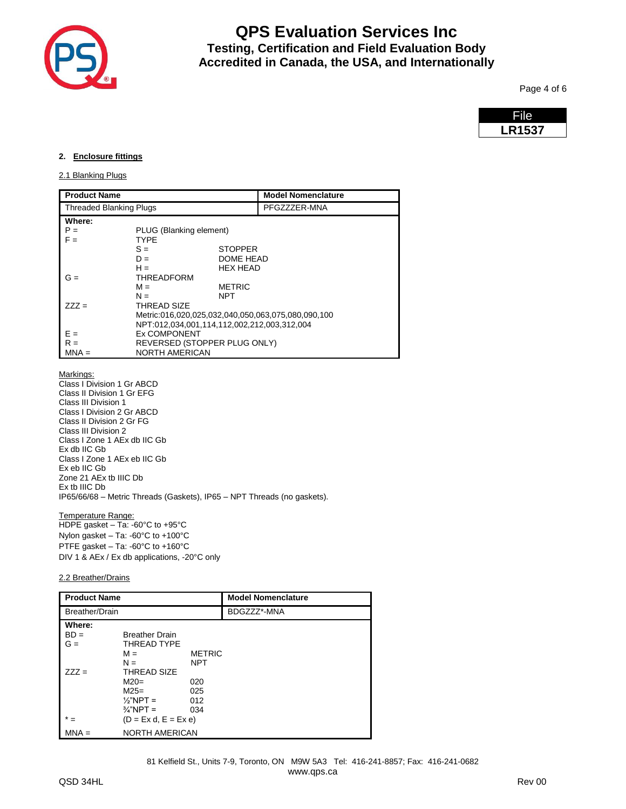

Page 4 of 6

| File          |
|---------------|
| <b>LR1537</b> |

#### **2. Enclosure fittings**

#### 2.1 Blanking Plugs

| <b>Product Name</b>            |                                                    |                              | <b>Model Nomenclature</b> |  |
|--------------------------------|----------------------------------------------------|------------------------------|---------------------------|--|
| <b>Threaded Blanking Plugs</b> |                                                    | PFGZZZER-MNA                 |                           |  |
| Where:                         |                                                    |                              |                           |  |
| $P =$                          | PLUG (Blanking element)                            |                              |                           |  |
| $F =$                          | TYPF                                               |                              |                           |  |
|                                | $S =$                                              | <b>STOPPER</b>               |                           |  |
|                                | $D =$                                              | DOME HEAD                    |                           |  |
|                                | $H =$                                              | <b>HEX HEAD</b>              |                           |  |
| $G =$                          | <b>THREADFORM</b>                                  |                              |                           |  |
|                                | $M =$                                              | <b>METRIC</b>                |                           |  |
|                                | $N =$                                              | NPT                          |                           |  |
| $777 =$                        | <b>THREAD SIZE</b>                                 |                              |                           |  |
|                                | Metric:016,020,025,032,040,050,063,075,080,090,100 |                              |                           |  |
|                                | NPT:012,034,001,114,112,002,212,003,312,004        |                              |                           |  |
| $F =$                          | <b>Ex COMPONENT</b>                                |                              |                           |  |
| $R =$                          |                                                    | REVERSED (STOPPER PLUG ONLY) |                           |  |
| $MNA =$                        | <b>NORTH AMERICAN</b>                              |                              |                           |  |

Markings:

Class I Division 1 Gr ABCD Class II Division 1 Gr EFG Class III Division 1 Class I Division 2 Gr ABCD Class II Division 2 Gr FG Class III Division 2 Class I Zone 1 AEx db IIC Gb Ex db IIC Gb Class I Zone 1 AEx eb IIC Gb Ex eb IIC Gb Zone 21 AEx tb IIIC Db Ex tb IIIC Db IP65/66/68 – Metric Threads (Gaskets), IP65 – NPT Threads (no gaskets).

Temperature Range:

HDPE gasket – Ta: -60°C to +95°C Nylon gasket – Ta: -60°C to +100°C PTFE gasket – Ta: -60°C to +160°C DIV 1 & AEx / Ex db applications, -20°C only

#### 2.2 Breather/Drains

| <b>Product Name</b>       |                                                                                           | <b>Model Nomenclature</b>   |             |
|---------------------------|-------------------------------------------------------------------------------------------|-----------------------------|-------------|
| Breather/Drain            |                                                                                           |                             | BDGZZZ*-MNA |
| Where:<br>$BD =$<br>$G =$ | <b>Breather Drain</b><br>THREAD TYPE                                                      |                             |             |
| $777 =$                   | $M =$<br>$N =$<br><b>THREAD SIZE</b>                                                      | <b>METRIC</b><br><b>NPT</b> |             |
|                           | $M20=$<br>$M25=$<br>$\frac{1}{2}$ NPT =<br>$\frac{3}{4}$ "NPT =<br>$(D = Ex d, E = Ex e)$ | 020<br>025<br>012<br>034    |             |
|                           | <b>NORTH AMERICAN</b>                                                                     |                             |             |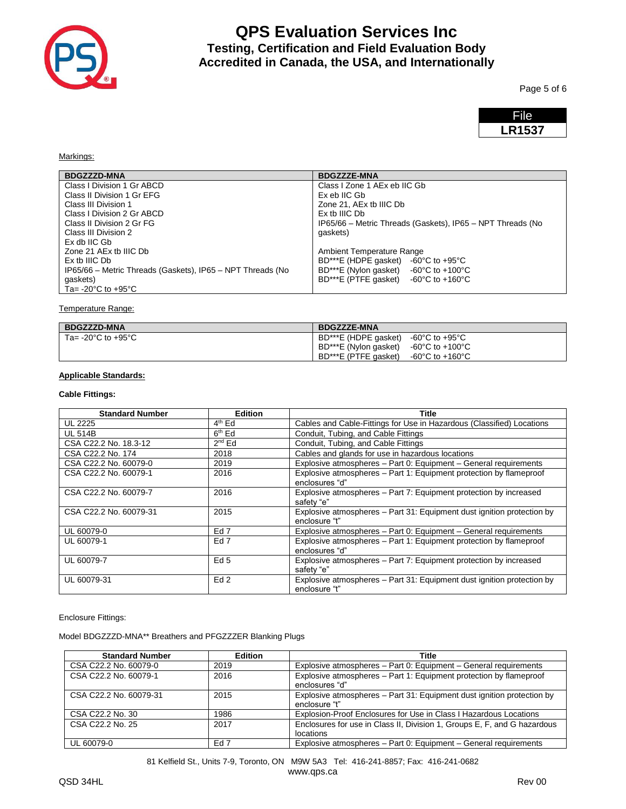

Page 5 of 6



Markings:

| <b>BDGZZZD-MNA</b>                                         | <b>BDGZZZE-MNA</b>                                         |
|------------------------------------------------------------|------------------------------------------------------------|
| Class I Division 1 Gr ABCD                                 | Class I Zone 1 AEx eb IIC Gb                               |
| Class II Division 1 Gr EFG                                 | Ex eb IIC Gb                                               |
| Class III Division 1                                       | Zone 21, AEx tb IIIC Db                                    |
| Class I Division 2 Gr ABCD                                 | Ex th IIIC Db                                              |
| Class II Division 2 Gr FG                                  | IP65/66 - Metric Threads (Gaskets), IP65 - NPT Threads (No |
| Class III Division 2                                       | qaskets)                                                   |
| Ex db IIC Gb                                               |                                                            |
| Zone 21 AEx tb IIIC Db                                     | Ambient Temperature Range                                  |
| Ex th IIIC Db                                              | BD***E (HDPE gasket) -60°C to +95°C                        |
| IP65/66 - Metric Threads (Gaskets), IP65 - NPT Threads (No | BD***E (Nylon gasket) $-60^{\circ}$ C to $+100^{\circ}$ C  |
| qaskets)                                                   | BD***E (PTFE gasket) $-60^{\circ}$ C to $+160^{\circ}$ C   |
| Ta= -20 $\degree$ C to +95 $\degree$ C                     |                                                            |

Temperature Range:

| <b>BDGZZZE-MNA</b>                                                                                                                                                            |
|-------------------------------------------------------------------------------------------------------------------------------------------------------------------------------|
| BD***E (HDPE gasket) $-60^{\circ}$ C to $+95^{\circ}$ C<br>$\overline{B}$ BD***E (Nylon gasket) -60°C to +100°C<br>$BD***E$ (PTFE gasket) $-60^{\circ}$ C to $+160^{\circ}$ C |
|                                                                                                                                                                               |

### **Applicable Standards:**

### **Cable Fittings:**

| <b>Standard Number</b> | <b>Edition</b>  | Title                                                                                   |
|------------------------|-----------------|-----------------------------------------------------------------------------------------|
| <b>UL 2225</b>         | $4th$ Ed        | Cables and Cable-Fittings for Use in Hazardous (Classified) Locations                   |
| <b>UL 514B</b>         | $6th$ Ed        | Conduit, Tubing, and Cable Fittings                                                     |
| CSA C22.2 No. 18.3-12  | $2^{nd}$ Ed     | Conduit, Tubing, and Cable Fittings                                                     |
| CSA C22.2 No. 174      | 2018            | Cables and glands for use in hazardous locations                                        |
| CSA C22.2 No. 60079-0  | 2019            | Explosive atmospheres - Part 0: Equipment - General requirements                        |
| CSA C22.2 No. 60079-1  | 2016            | Explosive atmospheres - Part 1: Equipment protection by flameproof<br>enclosures "d"    |
| CSA C22.2 No. 60079-7  | 2016            | Explosive atmospheres - Part 7: Equipment protection by increased<br>safety "e"         |
| CSA C22.2 No. 60079-31 | 2015            | Explosive atmospheres - Part 31: Equipment dust ignition protection by<br>enclosure "t" |
| UL 60079-0             | Ed <sub>7</sub> | Explosive atmospheres - Part 0: Equipment - General requirements                        |
| UL 60079-1             | Ed <sub>7</sub> | Explosive atmospheres – Part 1: Equipment protection by flameproof<br>enclosures "d"    |
| UL 60079-7             | Ed <sub>5</sub> | Explosive atmospheres – Part 7: Equipment protection by increased<br>safety "e"         |
| UL 60079-31            | Ed2             | Explosive atmospheres – Part 31: Equipment dust ignition protection by<br>enclosure "t" |

Enclosure Fittings:

Model BDGZZZD-MNA\*\* Breathers and PFGZZZER Blanking Plugs

| <b>Standard Number</b> | <b>Edition</b> | Title                                                                                   |
|------------------------|----------------|-----------------------------------------------------------------------------------------|
| CSA C22.2 No. 60079-0  | 2019           | Explosive atmospheres – Part 0: Equipment – General requirements                        |
| CSA C22.2 No. 60079-1  | 2016           | Explosive atmospheres - Part 1: Equipment protection by flameproof<br>enclosures "d"    |
| CSA C22.2 No. 60079-31 | 2015           | Explosive atmospheres - Part 31: Equipment dust ignition protection by<br>enclosure "t" |
| CSA C22.2 No. 30       | 1986           | Explosion-Proof Enclosures for Use in Class   Hazardous Locations                       |
| CSA C22.2 No. 25       | 2017           | Enclosures for use in Class II, Division 1, Groups E, F, and G hazardous<br>locations   |
| UL 60079-0             | Ed 7           | Explosive atmospheres - Part 0: Equipment - General requirements                        |

81 Kelfield St., Units 7-9, Toronto, ON M9W 5A3 Tel: 416-241-8857; Fax: 416-241-0682 www.qps.ca